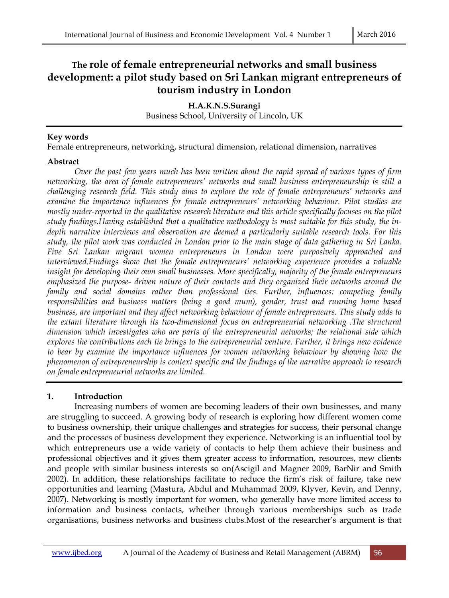# **The role of female entrepreneurial networks and small business development: a pilot study based on Sri Lankan migrant entrepreneurs of tourism industry in London**

**H.A.K.N.S.Surangi**  Business School, University of Lincoln, UK

### **Key words**

Female entrepreneurs, networking, structural dimension, relational dimension, narratives

### **Abstract**

 *Over the past few years much has been written about the rapid spread of various types of firm networking, the area of female entrepreneurs' networks and small business entrepreneurship is still a challenging research field. This study aims to explore the role of female entrepreneurs' networks and examine the importance influences for female entrepreneurs' networking behaviour. Pilot studies are mostly under-reported in the qualitative research literature and this article specifically focuses on the pilot study findings.Having established that a qualitative methodology is most suitable for this study, the indepth narrative interviews and observation are deemed a particularly suitable research tools. For this study, the pilot work was conducted in London prior to the main stage of data gathering in Sri Lanka. Five Sri Lankan migrant women entrepreneurs in London were purposively approached and interviewed.Findings show that the female entrepreneurs' networking experience provides a valuable insight for developing their own small businesses. More specifically, majority of the female entrepreneurs emphasized the purpose- driven nature of their contacts and they organized their networks around the family and social domains rather than professional ties. Further, influences: competing family responsibilities and business matters (being a good mum), gender, trust and running home based business, are important and they affect networking behaviour of female entrepreneurs. This study adds to the extant literature through its two-dimensional focus on entrepreneurial networking .The structural dimension which investigates who are parts of the entrepreneurial networks; the relational side which explores the contributions each tie brings to the entrepreneurial venture. Further, it brings new evidence to bear by examine the importance influences for women networking behaviour by showing how the phenomenon of entrepreneurship is context specific and the findings of the narrative approach to research on female entrepreneurial networks are limited.* 

# **1. Introduction**

 Increasing numbers of women are becoming leaders of their own businesses, and many are struggling to succeed. A growing body of research is exploring how different women come to business ownership, their unique challenges and strategies for success, their personal change and the processes of business development they experience. Networking is an influential tool by which entrepreneurs use a wide variety of contacts to help them achieve their business and professional objectives and it gives them greater access to information, resources, new clients and people with similar business interests so on(Ascigil and Magner 2009, BarNir and Smith 2002). In addition, these relationships facilitate to reduce the firm's risk of failure, take new opportunities and learning (Mastura, Abdul and Muhammad 2009, Klyver, Kevin, and Denny, 2007). Networking is mostly important for women, who generally have more limited access to information and business contacts, whether through various memberships such as trade organisations, business networks and business clubs.Most of the researcher's argument is that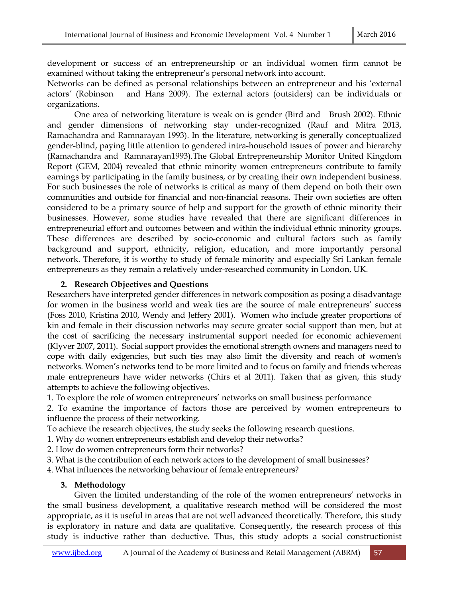development or success of an entrepreneurship or an individual women firm cannot be examined without taking the entrepreneur's personal network into account.

Networks can be defined as personal relationships between an entrepreneur and his 'external actors*'* (Robinson and Hans 2009). The external actors (outsiders) can be individuals or organizations.

 One area of networking literature is weak on is gender (Bird and Brush 2002). Ethnic and gender dimensions of networking stay under-recognized (Rauf and Mitra 2013, Ramachandra and Ramnarayan 1993). In the literature, networking is generally conceptualized gender-blind, paying little attention to gendered intra-household issues of power and hierarchy (Ramachandra and Ramnarayan1993).The Global Entrepreneurship Monitor United Kingdom Report (GEM, 2004) revealed that ethnic minority women entrepreneurs contribute to family earnings by participating in the family business, or by creating their own independent business. For such businesses the role of networks is critical as many of them depend on both their own communities and outside for financial and non-financial reasons. Their own societies are often considered to be a primary source of help and support for the growth of ethnic minority their businesses. However, some studies have revealed that there are significant differences in entrepreneurial effort and outcomes between and within the individual ethnic minority groups. These differences are described by socio-economic and cultural factors such as family background and support, ethnicity, religion, education, and more importantly personal network. Therefore, it is worthy to study of female minority and especially Sri Lankan female entrepreneurs as they remain a relatively under-researched community in London, UK.

### **2. Research Objectives and Questions**

Researchers have interpreted gender differences in network composition as posing a disadvantage for women in the business world and weak ties are the source of male entrepreneurs' success (Foss 2010, Kristina 2010, Wendy and Jeffery 2001). Women who include greater proportions of kin and female in their discussion networks may secure greater social support than men, but at the cost of sacrificing the necessary instrumental support needed for economic achievement (Klyver 2007, 2011). Social support provides the emotional strength owners and managers need to cope with daily exigencies, but such ties may also limit the diversity and reach of women's networks. Women's networks tend to be more limited and to focus on family and friends whereas male entrepreneurs have wider networks (Chirs et al 2011). Taken that as given, this study attempts to achieve the following objectives.

1. To explore the role of women entrepreneurs' networks on small business performance

2. To examine the importance of factors those are perceived by women entrepreneurs to influence the process of their networking.

To achieve the research objectives, the study seeks the following research questions.

- 1. Why do women entrepreneurs establish and develop their networks?
- 2. How do women entrepreneurs form their networks?
- 3. What is the contribution of each network actors to the development of small businesses?

4. What influences the networking behaviour of female entrepreneurs?

# **3. Methodology**

 Given the limited understanding of the role of the women entrepreneurs' networks in the small business development, a qualitative research method will be considered the most appropriate, as it is useful in areas that are not well advanced theoretically. Therefore, this study is exploratory in nature and data are qualitative. Consequently, the research process of this study is inductive rather than deductive. Thus, this study adopts a social constructionist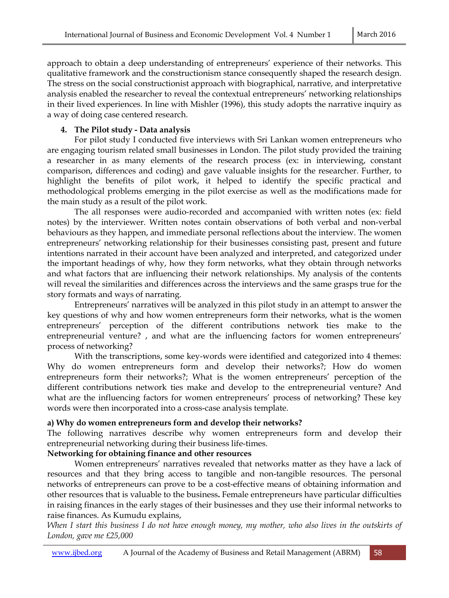approach to obtain a deep understanding of entrepreneurs' experience of their networks. This qualitative framework and the constructionism stance consequently shaped the research design. The stress on the social constructionist approach with biographical, narrative, and interpretative analysis enabled the researcher to reveal the contextual entrepreneurs' networking relationships in their lived experiences. In line with Mishler (1996), this study adopts the narrative inquiry as a way of doing case centered research.

# **4. The Pilot study - Data analysis**

 For pilot study I conducted five interviews with Sri Lankan women entrepreneurs who are engaging tourism related small businesses in London. The pilot study provided the training a researcher in as many elements of the research process (ex: in interviewing, constant comparison, differences and coding) and gave valuable insights for the researcher. Further, to highlight the benefits of pilot work, it helped to identify the specific practical and methodological problems emerging in the pilot exercise as well as the modifications made for the main study as a result of the pilot work.

 The all responses were audio-recorded and accompanied with written notes (ex: field notes) by the interviewer. Written notes contain observations of both verbal and non-verbal behaviours as they happen, and immediate personal reflections about the interview. The women entrepreneurs' networking relationship for their businesses consisting past, present and future intentions narrated in their account have been analyzed and interpreted, and categorized under the important headings of why, how they form networks, what they obtain through networks and what factors that are influencing their network relationships. My analysis of the contents will reveal the similarities and differences across the interviews and the same grasps true for the story formats and ways of narrating.

 Entrepreneurs' narratives will be analyzed in this pilot study in an attempt to answer the key questions of why and how women entrepreneurs form their networks, what is the women entrepreneurs' perception of the different contributions network ties make to the entrepreneurial venture? , and what are the influencing factors for women entrepreneurs' process of networking?

 With the transcriptions, some key-words were identified and categorized into 4 themes: Why do women entrepreneurs form and develop their networks?; How do women entrepreneurs form their networks?; What is the women entrepreneurs' perception of the different contributions network ties make and develop to the entrepreneurial venture? And what are the influencing factors for women entrepreneurs' process of networking? These key words were then incorporated into a cross-case analysis template.

# **a) Why do women entrepreneurs form and develop their networks?**

The following narratives describe why women entrepreneurs form and develop their entrepreneurial networking during their business life-times.

#### **Networking for obtaining finance and other resources**

 Women entrepreneurs' narratives revealed that networks matter as they have a lack of resources and that they bring access to tangible and non-tangible resources. The personal networks of entrepreneurs can prove to be a cost-effective means of obtaining information and other resources that is valuable to the business**.** Female entrepreneurs have particular difficulties in raising finances in the early stages of their businesses and they use their informal networks to raise finances. As Kumudu explains,

*When I start this business I do not have enough money, my mother, who also lives in the outskirts of London, gave me £25,000*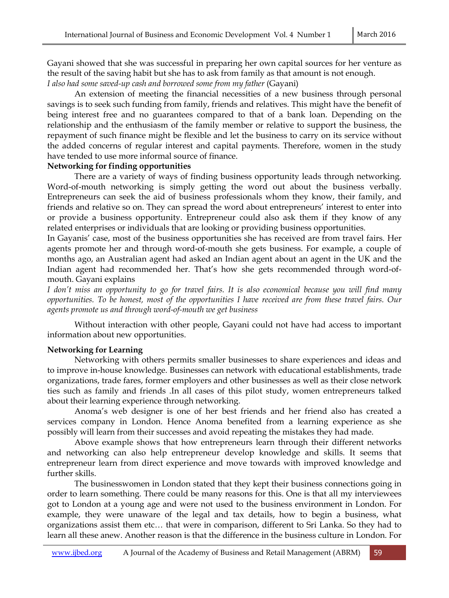Gayani showed that she was successful in preparing her own capital sources for her venture as the result of the saving habit but she has to ask from family as that amount is not enough. *I also had some saved-up cash and borrowed some from my father* (Gayani)

 An extension of meeting the financial necessities of a new business through personal savings is to seek such funding from family, friends and relatives. This might have the benefit of being interest free and no guarantees compared to that of a bank loan. Depending on the relationship and the enthusiasm of the family member or relative to support the business, the repayment of such finance might be flexible and let the business to carry on its service without the added concerns of regular interest and capital payments. Therefore, women in the study have tended to use more informal source of finance.

#### **Networking for finding opportunities**

 There are a variety of ways of finding business opportunity leads through networking. Word-of-mouth networking is simply getting the word out about the business verbally. Entrepreneurs can seek the aid of business professionals whom they know, their family, and friends and relative so on. They can spread the word about entrepreneurs' interest to enter into or provide a business opportunity. Entrepreneur could also ask them if they know of any related enterprises or individuals that are looking or providing business opportunities.

In Gayanis' case, most of the business opportunities she has received are from travel fairs. Her agents promote her and through word-of-mouth she gets business. For example, a couple of months ago, an Australian agent had asked an Indian agent about an agent in the UK and the Indian agent had recommended her. That's how she gets recommended through word-ofmouth. Gayani explains

*I don't miss an opportunity to go for travel fairs. It is also economical because you will find many opportunities. To be honest, most of the opportunities I have received are from these travel fairs. Our agents promote us and through word-of-mouth we get business*

 Without interaction with other people, Gayani could not have had access to important information about new opportunities.

#### **Networking for Learning**

 Networking with others permits smaller businesses to share experiences and ideas and to improve in-house knowledge. Businesses can network with educational establishments, trade organizations, trade fares, former employers and other businesses as well as their close network ties such as family and friends .In all cases of this pilot study, women entrepreneurs talked about their learning experience through networking.

 Anoma's web designer is one of her best friends and her friend also has created a services company in London. Hence Anoma benefited from a learning experience as she possibly will learn from their successes and avoid repeating the mistakes they had made.

 Above example shows that how entrepreneurs learn through their different networks and networking can also help entrepreneur develop knowledge and skills. It seems that entrepreneur learn from direct experience and move towards with improved knowledge and further skills.

 The businesswomen in London stated that they kept their business connections going in order to learn something. There could be many reasons for this. One is that all my interviewees got to London at a young age and were not used to the business environment in London. For example, they were unaware of the legal and tax details, how to begin a business, what organizations assist them etc… that were in comparison, different to Sri Lanka. So they had to learn all these anew. Another reason is that the difference in the business culture in London. For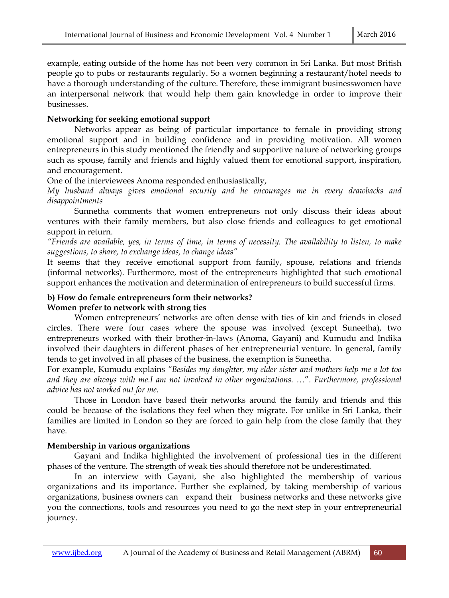example, eating outside of the home has not been very common in Sri Lanka. But most British people go to pubs or restaurants regularly. So a women beginning a restaurant/hotel needs to have a thorough understanding of the culture. Therefore, these immigrant businesswomen have an interpersonal network that would help them gain knowledge in order to improve their businesses.

### **Networking for seeking emotional support**

 Networks appear as being of particular importance to female in providing strong emotional support and in building confidence and in providing motivation. All women entrepreneurs in this study mentioned the friendly and supportive nature of networking groups such as spouse, family and friends and highly valued them for emotional support, inspiration, and encouragement.

One of the interviewees Anoma responded enthusiastically,

*My husband always gives emotional security and he encourages me in every drawbacks and disappointments*

 Sunnetha comments that women entrepreneurs not only discuss their ideas about ventures with their family members, but also close friends and colleagues to get emotional support in return.

*"Friends are available, yes, in terms of time, in terms of necessity. The availability to listen, to make suggestions, to share, to exchange ideas, to change ideas"* 

It seems that they receive emotional support from family, spouse, relations and friends (informal networks). Furthermore, most of the entrepreneurs highlighted that such emotional support enhances the motivation and determination of entrepreneurs to build successful firms.

### **b) How do female entrepreneurs form their networks? Women prefer to network with strong ties**

 Women entrepreneurs' networks are often dense with ties of kin and friends in closed circles. There were four cases where the spouse was involved (except Suneetha), two entrepreneurs worked with their brother-in-laws (Anoma, Gayani) and Kumudu and Indika involved their daughters in different phases of her entrepreneurial venture. In general, family tends to get involved in all phases of the business, the exemption is Suneetha.

For example, Kumudu explains *"Besides my daughter, my elder sister and mothers help me a lot too and they are always with me.I am not involved in other organizations.* …". *Furthermore, professional advice has not worked out for me.*

 Those in London have based their networks around the family and friends and this could be because of the isolations they feel when they migrate. For unlike in Sri Lanka, their families are limited in London so they are forced to gain help from the close family that they have.

#### **Membership in various organizations**

 Gayani and Indika highlighted the involvement of professional ties in the different phases of the venture. The strength of weak ties should therefore not be underestimated.

 In an interview with Gayani, she also highlighted the membership of various organizations and its importance. Further she explained, by taking membership of various organizations, business owners can expand their business networks and these networks give you the connections, tools and resources you need to go the next step in your entrepreneurial journey.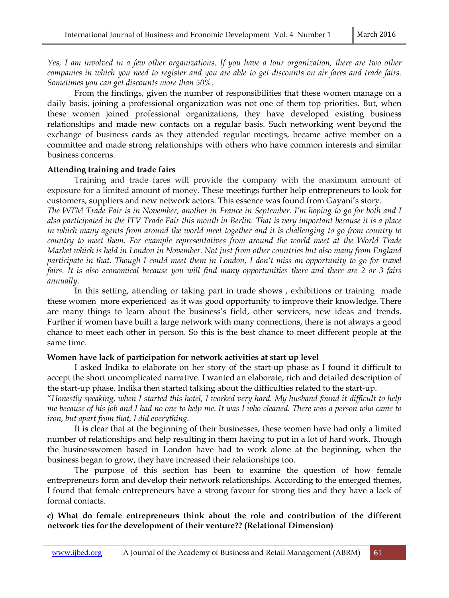*Yes, I am involved in a few other organizations. If you have a tour organization, there are two other companies in which you need to register and you are able to get discounts on air fares and trade fairs. Sometimes you can get discounts more than 50%.* 

 From the findings, given the number of responsibilities that these women manage on a daily basis, joining a professional organization was not one of them top priorities. But, when these women joined professional organizations, they have developed existing business relationships and made new contacts on a regular basis. Such networking went beyond the exchange of business cards as they attended regular meetings, became active member on a committee and made strong relationships with others who have common interests and similar business concerns.

#### **Attending training and trade fairs**

 Training and trade fares will provide the company with the maximum amount of exposure for a limited amount of money. These meetings further help entrepreneurs to look for customers, suppliers and new network actors. This essence was found from Gayani's story.

*The WTM Trade Fair is in November, another in France in September. I'm hoping to go for both and I also participated in the ITV Trade Fair this month in Berlin. That is very important because it is a place in which many agents from around the world meet together and it is challenging to go from country to country to meet them. For example representatives from around the world meet at the World Trade Market which is held in London in November. Not just from other countries but also many from England participate in that. Though I could meet them in London, I don't miss an opportunity to go for travel fairs. It is also economical because you will find many opportunities there and there are 2 or 3 fairs annually.* 

 In this setting, attending or taking part in trade shows , exhibitions or training made these women more experienced as it was good opportunity to improve their knowledge. There are many things to learn about the business's field, other servicers, new ideas and trends. Further if women have built a large network with many connections, there is not always a good chance to meet each other in person. So this is the best chance to meet different people at the same time.

#### **Women have lack of participation for network activities at start up level**

 I asked Indika to elaborate on her story of the start-up phase as I found it difficult to accept the short uncomplicated narrative. I wanted an elaborate, rich and detailed description of the start-up phase. Indika then started talking about the difficulties related to the start-up.

"*Honestly speaking, when I started this hotel, I worked very hard. My husband found it difficult to help me because of his job and I had no one to help me. It was I who cleaned. There was a person who came to iron, but apart from that, I did everything.* 

 It is clear that at the beginning of their businesses, these women have had only a limited number of relationships and help resulting in them having to put in a lot of hard work. Though the businesswomen based in London have had to work alone at the beginning, when the business began to grow, they have increased their relationships too.

 The purpose of this section has been to examine the question of how female entrepreneurs form and develop their network relationships. According to the emerged themes, I found that female entrepreneurs have a strong favour for strong ties and they have a lack of formal contacts.

#### **c) What do female entrepreneurs think about the role and contribution of the different network ties for the development of their venture?? (Relational Dimension)**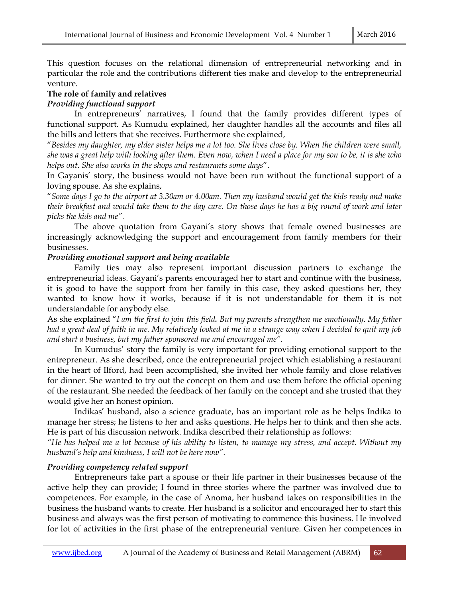This question focuses on the relational dimension of entrepreneurial networking and in particular the role and the contributions different ties make and develop to the entrepreneurial venture.

#### **The role of family and relatives**

### *Providing functional support*

 In entrepreneurs' narratives, I found that the family provides different types of functional support. As Kumudu explained, her daughter handles all the accounts and files all the bills and letters that she receives. Furthermore she explained,

"*Besides my daughter, my elder sister helps me a lot too. She lives close by. When the children were small, she was a great help with looking after them. Even now, when I need a place for my son to be, it is she who helps out. She also works in the shops and restaurants some days*".

In Gayanis' story, the business would not have been run without the functional support of a loving spouse. As she explains,

"*Some days I go to the airport at 3.30am or 4.00am. Then my husband would get the kids ready and make their breakfast and would take them to the day care. On those days he has a big round of work and later picks the kids and me".* 

 The above quotation from Gayani's story shows that female owned businesses are increasingly acknowledging the support and encouragement from family members for their businesses.

### *Providing emotional support and being available*

 Family ties may also represent important discussion partners to exchange the entrepreneurial ideas. Gayani's parents encouraged her to start and continue with the business, it is good to have the support from her family in this case, they asked questions her, they wanted to know how it works, because if it is not understandable for them it is not understandable for anybody else.

As she explained "*I am the first to join this field. But my parents strengthen me emotionally. My father had a great deal of faith in me. My relatively looked at me in a strange way when I decided to quit my job and start a business, but my father sponsored me and encouraged me".* 

 In Kumudus' story the family is very important for providing emotional support to the entrepreneur. As she described, once the entrepreneurial project which establishing a restaurant in the heart of Ilford, had been accomplished, she invited her whole family and close relatives for dinner. She wanted to try out the concept on them and use them before the official opening of the restaurant. She needed the feedback of her family on the concept and she trusted that they would give her an honest opinion.

 Indikas' husband, also a science graduate, has an important role as he helps Indika to manage her stress; he listens to her and asks questions. He helps her to think and then she acts. He is part of his discussion network. Indika described their relationship as follows:

*"He has helped me a lot because of his ability to listen, to manage my stress, and accept. Without my husband's help and kindness, I will not be here now".* 

#### *Providing competency related support*

 Entrepreneurs take part a spouse or their life partner in their businesses because of the active help they can provide; I found in three stories where the partner was involved due to competences. For example, in the case of Anoma, her husband takes on responsibilities in the business the husband wants to create. Her husband is a solicitor and encouraged her to start this business and always was the first person of motivating to commence this business. He involved for lot of activities in the first phase of the entrepreneurial venture. Given her competences in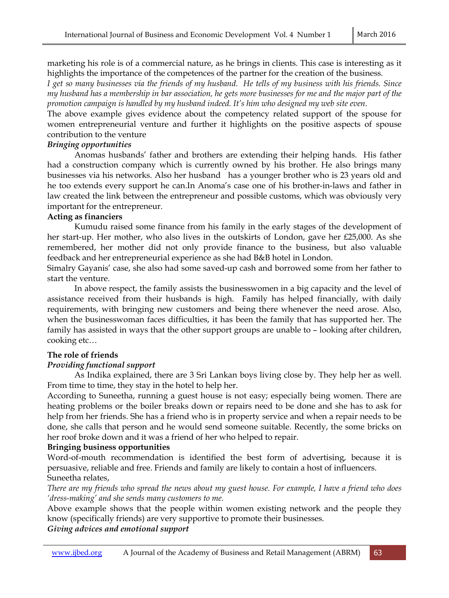marketing his role is of a commercial nature, as he brings in clients. This case is interesting as it highlights the importance of the competences of the partner for the creation of the business.

*I get so many businesses via the friends of my husband. He tells of my business with his friends. Since my husband has a membership in bar association, he gets more businesses for me and the major part of the promotion campaign is handled by my husband indeed. It's him who designed my web site even.* 

The above example gives evidence about the competency related support of the spouse for women entrepreneurial venture and further it highlights on the positive aspects of spouse contribution to the venture

#### *Bringing opportunities*

 Anomas husbands' father and brothers are extending their helping hands. His father had a construction company which is currently owned by his brother. He also brings many businesses via his networks. Also her husband has a younger brother who is 23 years old and he too extends every support he can.In Anoma's case one of his brother-in-laws and father in law created the link between the entrepreneur and possible customs, which was obviously very important for the entrepreneur.

### **Acting as financiers**

 Kumudu raised some finance from his family in the early stages of the development of her start-up. Her mother, who also lives in the outskirts of London, gave her £25,000. As she remembered, her mother did not only provide finance to the business, but also valuable feedback and her entrepreneurial experience as she had B&B hotel in London.

Simalry Gayanis' case, she also had some saved-up cash and borrowed some from her father to start the venture.

 In above respect, the family assists the businesswomen in a big capacity and the level of assistance received from their husbands is high. Family has helped financially, with daily requirements, with bringing new customers and being there whenever the need arose. Also, when the businesswoman faces difficulties, it has been the family that has supported her. The family has assisted in ways that the other support groups are unable to – looking after children, cooking etc…

# **The role of friends**

# *Providing functional support*

 As Indika explained, there are 3 Sri Lankan boys living close by. They help her as well. From time to time, they stay in the hotel to help her.

According to Suneetha, running a guest house is not easy; especially being women. There are heating problems or the boiler breaks down or repairs need to be done and she has to ask for help from her friends. She has a friend who is in property service and when a repair needs to be done, she calls that person and he would send someone suitable. Recently, the some bricks on her roof broke down and it was a friend of her who helped to repair.

# **Bringing business opportunities**

Word-of-mouth recommendation is identified the best form of advertising, because it is persuasive, reliable and free. Friends and family are likely to contain a host of influencers. Suneetha relates,

*There are my friends who spread the news about my guest house. For example, I have a friend who does 'dress-making' and she sends many customers to me.* 

Above example shows that the people within women existing network and the people they know (specifically friends) are very supportive to promote their businesses.

#### *Giving advices and emotional support*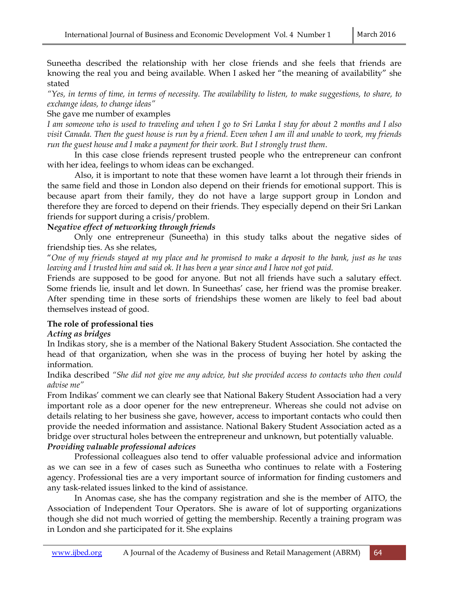Suneetha described the relationship with her close friends and she feels that friends are knowing the real you and being available. When I asked her "the meaning of availability" she stated

*"Yes, in terms of time, in terms of necessity. The availability to listen, to make suggestions, to share, to exchange ideas, to change ideas"* 

#### She gave me number of examples

*I am someone who is used to traveling and when I go to Sri Lanka I stay for about 2 months and I also visit Canada. Then the guest house is run by a friend. Even when I am ill and unable to work, my friends run the guest house and I make a payment for their work. But I strongly trust them*.

 In this case close friends represent trusted people who the entrepreneur can confront with her idea, feelings to whom ideas can be exchanged.

 Also, it is important to note that these women have learnt a lot through their friends in the same field and those in London also depend on their friends for emotional support. This is because apart from their family, they do not have a large support group in London and therefore they are forced to depend on their friends. They especially depend on their Sri Lankan friends for support during a crisis/problem.

### **N***egative effect of networking through friends*

 Only one entrepreneur (Suneetha) in this study talks about the negative sides of friendship ties. As she relates,

"*One of my friends stayed at my place and he promised to make a deposit to the bank, just as he was leaving and I trusted him and said ok. It has been a year since and I have not got paid.* 

Friends are supposed to be good for anyone. But not all friends have such a salutary effect. Some friends lie, insult and let down. In Suneethas' case, her friend was the promise breaker. After spending time in these sorts of friendships these women are likely to feel bad about themselves instead of good.

# **The role of professional ties**

#### *Acting as bridges*

In Indikas story, she is a member of the National Bakery Student Association. She contacted the head of that organization, when she was in the process of buying her hotel by asking the information.

Indika described *"She did not give me any advice, but she provided access to contacts who then could advise me"* 

From Indikas' comment we can clearly see that National Bakery Student Association had a very important role as a door opener for the new entrepreneur. Whereas she could not advise on details relating to her business she gave, however, access to important contacts who could then provide the needed information and assistance. National Bakery Student Association acted as a bridge over structural holes between the entrepreneur and unknown, but potentially valuable. *Providing valuable professional advices* 

 Professional colleagues also tend to offer valuable professional advice and information as we can see in a few of cases such as Suneetha who continues to relate with a Fostering agency. Professional ties are a very important source of information for finding customers and any task-related issues linked to the kind of assistance.

 In Anomas case, she has the company registration and she is the member of AITO, the Association of Independent Tour Operators. She is aware of lot of supporting organizations though she did not much worried of getting the membership. Recently a training program was in London and she participated for it. She explains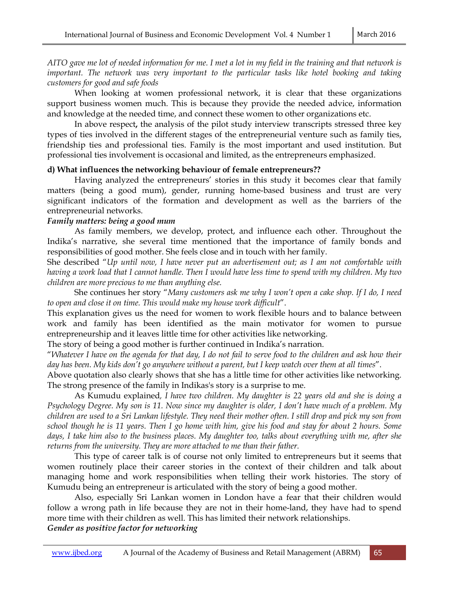*AITO gave me lot of needed information for me. I met a lot in my field in the training and that network is important. The network was very important to the particular tasks like hotel booking and taking customers for good and safe foods*

When looking at women professional network, it is clear that these organizations support business women much. This is because they provide the needed advice, information and knowledge at the needed time, and connect these women to other organizations etc.

 In above respect**,** the analysis of the pilot study interview transcripts stressed three key types of ties involved in the different stages of the entrepreneurial venture such as family ties, friendship ties and professional ties. Family is the most important and used institution. But professional ties involvement is occasional and limited, as the entrepreneurs emphasized.

#### **d) What influences the networking behaviour of female entrepreneurs??**

 Having analyzed the entrepreneurs' stories in this study it becomes clear that family matters (being a good mum), gender, running home-based business and trust are very significant indicators of the formation and development as well as the barriers of the entrepreneurial networks.

### *Family matters: being a good mum*

 As family members, we develop, protect, and influence each other. Throughout the Indika's narrative, she several time mentioned that the importance of family bonds and responsibilities of good mother. She feels close and in touch with her family.

She described "*Up until now, I have never put an advertisement out; as I am not comfortable with having a work load that I cannot handle. Then I would have less time to spend with my children. My two children are more precious to me than anything else.* 

 She continues her story "*Many customers ask me why I won't open a cake shop. If I do, I need to open and close it on time. This would make my house work difficult*".

This explanation gives us the need for women to work flexible hours and to balance between work and family has been identified as the main motivator for women to pursue entrepreneurship and it leaves little time for other activities like networking.

The story of being a good mother is further continued in Indika's narration.

"*Whatever I have on the agenda for that day, I do not fail to serve food to the children and ask how their day has been. My kids don't go anywhere without a parent, but I keep watch over them at all times*".

Above quotation also clearly shows that she has a little time for other activities like networking. The strong presence of the family in Indikas's story is a surprise to me.

 As Kumudu explained*, I have two children. My daughter is 22 years old and she is doing a Psychology Degree. My son is 11. Now since my daughter is older, I don't have much of a problem. My children are used to a Sri Lankan lifestyle. They need their mother often. I still drop and pick my son from school though he is 11 years. Then I go home with him, give his food and stay for about 2 hours. Some days, I take him also to the business places. My daughter too, talks about everything with me, after she returns from the university. They are more attached to me than their father.* 

 This type of career talk is of course not only limited to entrepreneurs but it seems that women routinely place their career stories in the context of their children and talk about managing home and work responsibilities when telling their work histories. The story of Kumudu being an entrepreneur is articulated with the story of being a good mother.

 Also, especially Sri Lankan women in London have a fear that their children would follow a wrong path in life because they are not in their home-land, they have had to spend more time with their children as well. This has limited their network relationships. *Gender as positive factor for networking*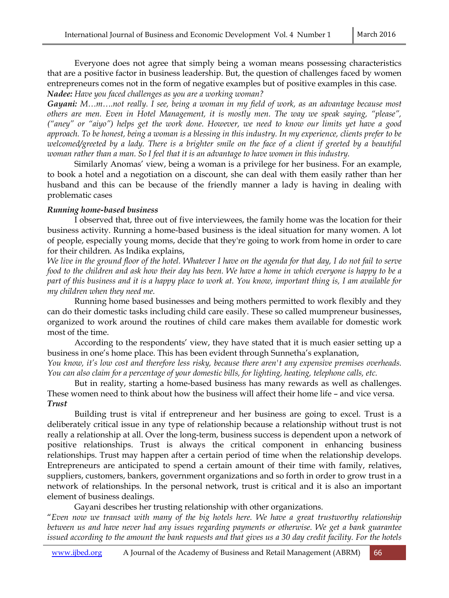Everyone does not agree that simply being a woman means possessing characteristics that are a positive factor in business leadership. But, the question of challenges faced by women entrepreneurs comes not in the form of negative examples but of positive examples in this case. *Nadee: Have you faced challenges as you are a working woman?* 

*Gayani: M…m….not really. I see, being a woman in my field of work, as an advantage because most others are men. Even in Hotel Management, it is mostly men. The way we speak saying, "please", ("aney" or "aiyo") helps get the work done. However, we need to know our limits yet have a good approach. To be honest, being a woman is a blessing in this industry. In my experience, clients prefer to be*  welcomed/greeted by a lady. There is a brighter smile on the face of a client if greeted by a beautiful *woman rather than a man. So I feel that it is an advantage to have women in this industry.* 

 Similarly Anomas' view, being a woman is a privilege for her business. For an example, to book a hotel and a negotiation on a discount, she can deal with them easily rather than her husband and this can be because of the friendly manner a lady is having in dealing with problematic cases

#### *Running home-based business*

 I observed that, three out of five interviewees, the family home was the location for their business activity. Running a home-based business is the ideal situation for many women. A lot of people, especially young moms, decide that they're going to work from home in order to care for their children. As Indika explains,

*We live in the ground floor of the hotel. Whatever I have on the agenda for that day, I do not fail to serve food to the children and ask how their day has been. We have a home in which everyone is happy to be a part of this business and it is a happy place to work at. You know, important thing is, I am available for my children when they need me.* 

 Running home based businesses and being mothers permitted to work flexibly and they can do their domestic tasks including child care easily. These so called mumpreneur businesses, organized to work around the routines of child care makes them available for domestic work most of the time.

 According to the respondents' view, they have stated that it is much easier setting up a business in one's home place. This has been evident through Sunnetha's explanation,

*You know, it's low cost and therefore less risky, because there aren't any expensive premises overheads. You can also claim for a percentage of your domestic bills, for lighting, heating, telephone calls, etc.* 

 But in reality, starting a home-based business has many rewards as well as challenges. These women need to think about how the business will affect their home life – and vice versa. *Trust* 

 Building trust is vital if entrepreneur and her business are going to excel. Trust is a deliberately critical issue in any type of relationship because a relationship without trust is not really a relationship at all. Over the long-term, business success is dependent upon a network of positive relationships. Trust is always the critical component in enhancing business relationships. Trust may happen after a certain period of time when the relationship develops. Entrepreneurs are anticipated to spend a certain amount of their time with family, relatives, suppliers, customers, bankers, government organizations and so forth in order to grow trust in a network of relationships. In the personal network, trust is critical and it is also an important element of business dealings.

Gayani describes her trusting relationship with other organizations.

"*Even now we transact with many of the big hotels here. We have a great trustworthy relationship between us and have never had any issues regarding payments or otherwise. We get a bank guarantee issued according to the amount the bank requests and that gives us a 30 day credit facility. For the hotels*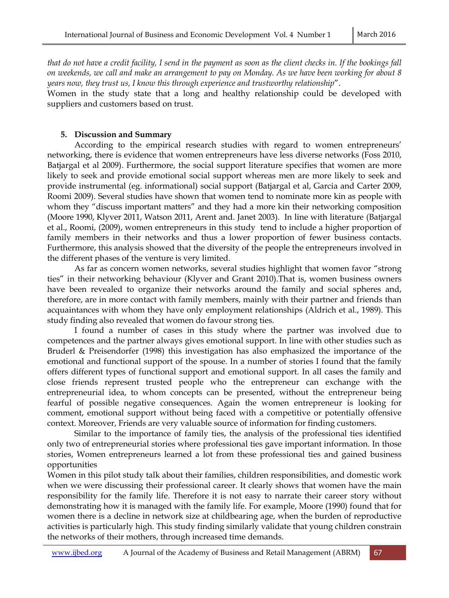*that do not have a credit facility, I send in the payment as soon as the client checks in. If the bookings fall on weekends, we call and make an arrangement to pay on Monday. As we have been working for about 8 years now, they trust us, I know this through experience and trustworthy relationship*".

Women in the study state that a long and healthy relationship could be developed with suppliers and customers based on trust.

### **5. Discussion and Summary**

 According to the empirical research studies with regard to women entrepreneurs' networking, there is evidence that women entrepreneurs have less diverse networks (Foss 2010, Batjargal et al 2009). Furthermore, the social support literature specifies that women are more likely to seek and provide emotional social support whereas men are more likely to seek and provide instrumental (eg. informational) social support (Batjargal et al, Garcia and Carter 2009, Roomi 2009). Several studies have shown that women tend to nominate more kin as people with whom they "discuss important matters" and they had a more kin their networking composition (Moore 1990, Klyver 2011, Watson 2011, Arent and. Janet 2003). In line with literature (Batjargal et al., Roomi, (2009), women entrepreneurs in this study tend to include a higher proportion of family members in their networks and thus a lower proportion of fewer business contacts. Furthermore, this analysis showed that the diversity of the people the entrepreneurs involved in the different phases of the venture is very limited.

 As far as concern women networks, several studies highlight that women favor "strong ties" in their networking behaviour (Klyver and Grant 2010).That is, women business owners have been revealed to organize their networks around the family and social spheres and, therefore, are in more contact with family members, mainly with their partner and friends than acquaintances with whom they have only employment relationships (Aldrich et al., 1989). This study finding also revealed that women do favour strong ties.

 I found a number of cases in this study where the partner was involved due to competences and the partner always gives emotional support. In line with other studies such as Bruderl & Preisendorfer (1998) this investigation has also emphasized the importance of the emotional and functional support of the spouse. In a number of stories I found that the family offers different types of functional support and emotional support. In all cases the family and close friends represent trusted people who the entrepreneur can exchange with the entrepreneurial idea, to whom concepts can be presented, without the entrepreneur being fearful of possible negative consequences. Again the women entrepreneur is looking for comment, emotional support without being faced with a competitive or potentially offensive context. Moreover, Friends are very valuable source of information for finding customers.

 Similar to the importance of family ties, the analysis of the professional ties identified only two of entrepreneurial stories where professional ties gave important information. In those stories, Women entrepreneurs learned a lot from these professional ties and gained business opportunities

Women in this pilot study talk about their families, children responsibilities, and domestic work when we were discussing their professional career. It clearly shows that women have the main responsibility for the family life. Therefore it is not easy to narrate their career story without demonstrating how it is managed with the family life. For example, Moore (1990) found that for women there is a decline in network size at childbearing age, when the burden of reproductive activities is particularly high. This study finding similarly validate that young children constrain the networks of their mothers, through increased time demands.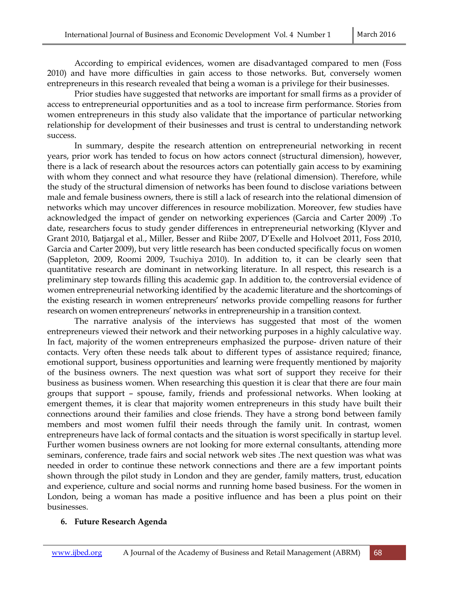According to empirical evidences, women are disadvantaged compared to men (Foss 2010) and have more difficulties in gain access to those networks. But, conversely women entrepreneurs in this research revealed that being a woman is a privilege for their businesses.

 Prior studies have suggested that networks are important for small firms as a provider of access to entrepreneurial opportunities and as a tool to increase firm performance. Stories from women entrepreneurs in this study also validate that the importance of particular networking relationship for development of their businesses and trust is central to understanding network success.

 In summary, despite the research attention on entrepreneurial networking in recent years, prior work has tended to focus on how actors connect (structural dimension), however, there is a lack of research about the resources actors can potentially gain access to by examining with whom they connect and what resource they have (relational dimension). Therefore, while the study of the structural dimension of networks has been found to disclose variations between male and female business owners, there is still a lack of research into the relational dimension of networks which may uncover differences in resource mobilization. Moreover, few studies have acknowledged the impact of gender on networking experiences (Garcia and Carter 2009) .To date, researchers focus to study gender differences in entrepreneurial networking (Klyver and Grant 2010, Batjargal et al., Miller, Besser and Riibe 2007, D'Exelle and Holvoet 2011, Foss 2010, Garcia and Carter 2009), but very little research has been conducted specifically focus on women (Sappleton, 2009, Roomi 2009, Tsuchiya 2010). In addition to, it can be clearly seen that quantitative research are dominant in networking literature. In all respect, this research is a preliminary step towards filling this academic gap. In addition to, the controversial evidence of women entrepreneurial networking identified by the academic literature and the shortcomings of the existing research in women entrepreneurs' networks provide compelling reasons for further research on women entrepreneurs' networks in entrepreneurship in a transition context.

 The narrative analysis of the interviews has suggested that most of the women entrepreneurs viewed their network and their networking purposes in a highly calculative way. In fact, majority of the women entrepreneurs emphasized the purpose- driven nature of their contacts. Very often these needs talk about to different types of assistance required; finance, emotional support, business opportunities and learning were frequently mentioned by majority of the business owners. The next question was what sort of support they receive for their business as business women. When researching this question it is clear that there are four main groups that support – spouse, family, friends and professional networks. When looking at emergent themes, it is clear that majority women entrepreneurs in this study have built their connections around their families and close friends. They have a strong bond between family members and most women fulfil their needs through the family unit. In contrast, women entrepreneurs have lack of formal contacts and the situation is worst specifically in startup level. Further women business owners are not looking for more external consultants, attending more seminars, conference, trade fairs and social network web sites .The next question was what was needed in order to continue these network connections and there are a few important points shown through the pilot study in London and they are gender, family matters, trust, education and experience, culture and social norms and running home based business. For the women in London, being a woman has made a positive influence and has been a plus point on their businesses.

#### **6. Future Research Agenda**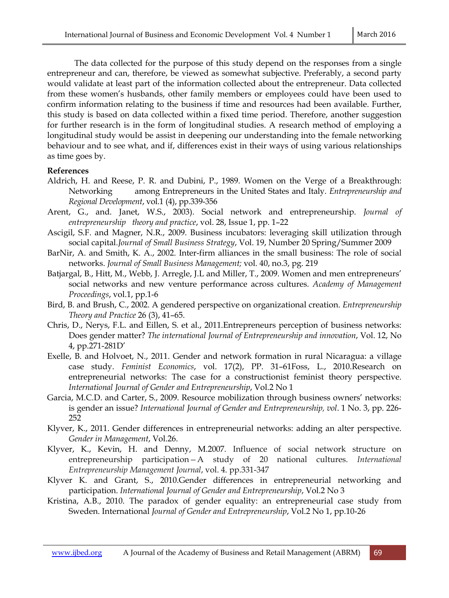The data collected for the purpose of this study depend on the responses from a single entrepreneur and can, therefore, be viewed as somewhat subjective. Preferably, a second party would validate at least part of the information collected about the entrepreneur. Data collected from these women's husbands, other family members or employees could have been used to confirm information relating to the business if time and resources had been available. Further, this study is based on data collected within a fixed time period. Therefore, another suggestion for further research is in the form of longitudinal studies. A research method of employing a longitudinal study would be assist in deepening our understanding into the female networking behaviour and to see what, and if, differences exist in their ways of using various relationships as time goes by.

#### **References**

- Aldrich, H. and Reese, P. R. and Dubini, P., 1989. Women on the Verge of a Breakthrough: Networking among Entrepreneurs in the United States and Italy. *Entrepreneurship and Regional Development*, vol.1 (4), pp.339-356
- Arent, G., and. Janet, W.S., 2003). Social network and entrepreneurship. *Journal of entrepreneurship theory and practice*, vol. 28, Issue 1, pp. 1–22
- Ascigil, S.F. and Magner, N.R., 2009. Business incubators: leveraging skill utilization through social capital.*Journal of Small Business Strategy*, Vol. 19, Number 20 Spring/Summer 2009
- BarNir, A. and Smith, K. A., 2002. Inter-firm alliances in the small business: The role of social networks. *Journal of Small Business Management;* vol. 40, no.3, pg. 219
- Batjargal, B., Hitt, M., Webb, J. Arregle, J.L and Miller, T., 2009. Women and men entrepreneurs' social networks and new venture performance across cultures. *Academy of Management Proceedings*, vol.1, pp.1-6
- Bird, B. and Brush, C., 2002. A gendered perspective on organizational creation. *Entrepreneurship Theory and Practice* 26 (3), 41–65.
- Chris, D., Nerys, F.L. and Eillen, S. et al., 2011.Entrepreneurs perception of business networks: Does gender matter? *The international Journal of Entrepreneurship and innovation*, Vol. 12, No 4, pp.271-281D'
- Exelle, B. and Holvoet, N., 2011. Gender and network formation in rural Nicaragua: a village case study. *Feminist Economics*, vol. 17(2), PP. 31–61Foss, L., 2010.Research on entrepreneurial networks: The case for a constructionist feminist theory perspective. *International Journal of Gender and Entrepreneurship*, Vol.2 No 1
- Garcia, M.C.D. and Carter, S., 2009. Resource mobilization through business owners' networks: is gender an issue? *International Journal of Gender and Entrepreneurship, vol*. 1 No. 3, pp. 226- 252
- Klyver, K., 2011. Gender differences in entrepreneurial networks: adding an alter perspective. *Gender in Management*, Vol.26.
- Klyver, K., Kevin, H. and Denny, M.2007*.* Influence of social network structure on entrepreneurship participation*—*A study of 20 national cultures. *International Entrepreneurship Management Journal*, vol. 4. pp.331-347
- Klyver K. and Grant, S., 2010.Gender differences in entrepreneurial networking and participation. *International Journal of Gender and Entrepreneurship*, Vol.2 No 3
- Kristina, A.B., 2010. The paradox of gender equality: an entrepreneurial case study from Sweden. International *Journal of Gender and Entrepreneurship*, Vol.2 No 1, pp.10-26